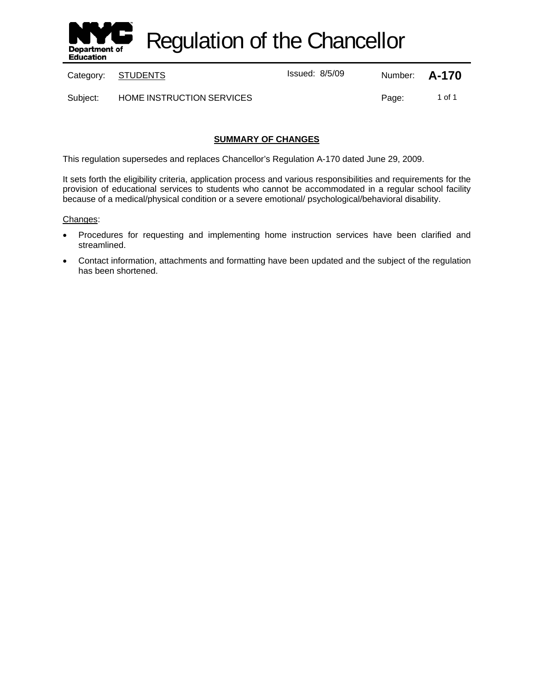

Regulation of the Chancellor

Category: **STUDENTS ISSUED:** Issued: 8/5/09 Number: **A-170** 

Subject: HOME INSTRUCTION SERVICES Page: 1 of 1

# **SUMMARY OF CHANGES**

This regulation supersedes and replaces Chancellor's Regulation A-170 dated June 29, 2009.

It sets forth the eligibility criteria, application process and various responsibilities and requirements for the provision of educational services to students who cannot be accommodated in a regular school facility because of a medical/physical condition or a severe emotional/ psychological/behavioral disability.

#### Changes:

- Procedures for requesting and implementing home instruction services have been clarified and streamlined.
- Contact information, attachments and formatting have been updated and the subject of the regulation has been shortened.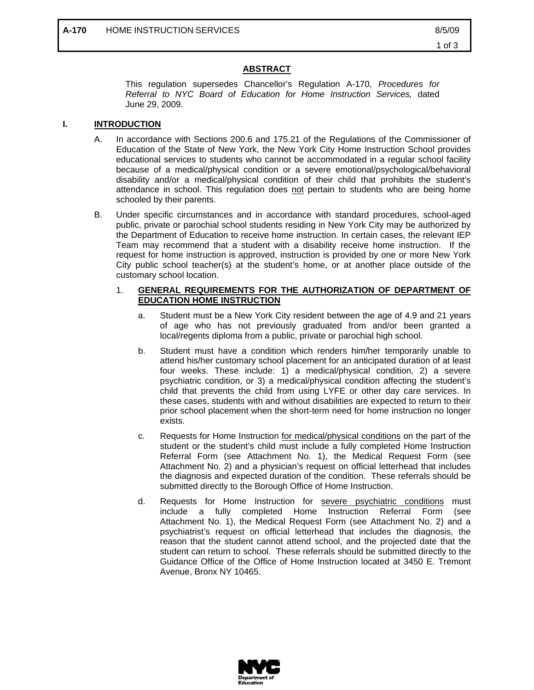## **ABSTRACT**

This regulation supersedes Chancellor's Regulation A-170, *Procedures for Referral to NYC Board of Education for Home Instruction Services,* dated June 29, 2009.

## **I. INTRODUCTION**

- A. In accordance with Sections 200.6 and 175.21 of the Regulations of the Commissioner of Education of the State of New York, the New York City Home Instruction School provides educational services to students who cannot be accommodated in a regular school facility because of a medical/physical condition or a severe emotional/psychological/behavioral disability and/or a medical/physical condition of their child that prohibits the student's attendance in school. This regulation does not pertain to students who are being home schooled by their parents.
- B. Under specific circumstances and in accordance with standard procedures, school-aged public, private or parochial school students residing in New York City may be authorized by the Department of Education to receive home instruction. In certain cases, the relevant IEP Team may recommend that a student with a disability receive home instruction. If the request for home instruction is approved, instruction is provided by one or more New York City public school teacher(s) at the student's home, or at another place outside of the customary school location.

#### 1. **GENERAL REQUIREMENTS FOR THE AUTHORIZATION OF DEPARTMENT OF EDUCATION HOME INSTRUCTION**

- a. Student must be a New York City resident between the age of 4.9 and 21 years of age who has not previously graduated from and/or been granted a local/regents diploma from a public, private or parochial high school.
- b. Student must have a condition which renders him/her temporarily unable to attend his/her customary school placement for an anticipated duration of at least four weeks. These include: 1) a medical/physical condition, 2) a severe psychiatric condition, or 3) a medical/physical condition affecting the student's child that prevents the child from using LYFE or other day care services. In these cases, students with and without disabilities are expected to return to their prior school placement when the short-term need for home instruction no longer exists.
- c. Requests for Home Instruction for medical/physical conditions on the part of the student or the student's child must include a fully completed Home Instruction Referral Form (see Attachment No. 1), the Medical Request Form (see Attachment No. 2) and a physician's request on official letterhead that includes the diagnosis and expected duration of the condition. These referrals should be submitted directly to the Borough Office of Home Instruction.
- d. Requests for Home Instruction for **severe psychiatric conditions** must include a fully completed Home Instruction Referral Form (see Attachment No. 1), the Medical Request Form (see Attachment No. 2) and a psychiatrist's request on official letterhead that includes the diagnosis, the reason that the student cannot attend school, and the projected date that the student can return to school. These referrals should be submitted directly to the Guidance Office of the Office of Home Instruction located at 3450 E. Tremont Avenue, Bronx NY 10465.

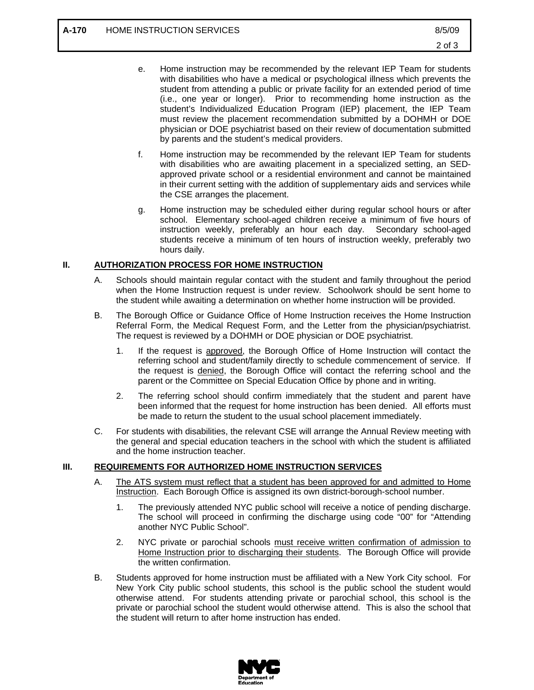- e. Home instruction may be recommended by the relevant IEP Team for students with disabilities who have a medical or psychological illness which prevents the student from attending a public or private facility for an extended period of time (i.e., one year or longer). Prior to recommending home instruction as the student's Individualized Education Program (IEP) placement, the IEP Team must review the placement recommendation submitted by a DOHMH or DOE physician or DOE psychiatrist based on their review of documentation submitted by parents and the student's medical providers.
- f. Home instruction may be recommended by the relevant IEP Team for students with disabilities who are awaiting placement in a specialized setting, an SEDapproved private school or a residential environment and cannot be maintained in their current setting with the addition of supplementary aids and services while the CSE arranges the placement.
- g. Home instruction may be scheduled either during regular school hours or after school. Elementary school-aged children receive a minimum of five hours of instruction weekly, preferably an hour each day. Secondary school-aged students receive a minimum of ten hours of instruction weekly, preferably two hours daily.

#### **II. AUTHORIZATION PROCESS FOR HOME INSTRUCTION**

- A. Schools should maintain regular contact with the student and family throughout the period when the Home Instruction request is under review. Schoolwork should be sent home to the student while awaiting a determination on whether home instruction will be provided.
- B. The Borough Office or Guidance Office of Home Instruction receives the Home Instruction Referral Form, the Medical Request Form, and the Letter from the physician/psychiatrist. The request is reviewed by a DOHMH or DOE physician or DOE psychiatrist.
	- 1. If the request is approved, the Borough Office of Home Instruction will contact the referring school and student/family directly to schedule commencement of service. If the request is denied, the Borough Office will contact the referring school and the parent or the Committee on Special Education Office by phone and in writing.
	- 2. The referring school should confirm immediately that the student and parent have been informed that the request for home instruction has been denied. All efforts must be made to return the student to the usual school placement immediately.
- C. For students with disabilities, the relevant CSE will arrange the Annual Review meeting with the general and special education teachers in the school with which the student is affiliated and the home instruction teacher.

## **III. REQUIREMENTS FOR AUTHORIZED HOME INSTRUCTION SERVICES**

- A. The ATS system must reflect that a student has been approved for and admitted to Home Instruction. Each Borough Office is assigned its own district-borough-school number.
	- 1. The previously attended NYC public school will receive a notice of pending discharge. The school will proceed in confirming the discharge using code "00" for "Attending another NYC Public School".
	- 2. NYC private or parochial schools must receive written confirmation of admission to Home Instruction prior to discharging their students. The Borough Office will provide the written confirmation.
- B. Students approved for home instruction must be affiliated with a New York City school. For New York City public school students, this school is the public school the student would otherwise attend. For students attending private or parochial school, this school is the private or parochial school the student would otherwise attend. This is also the school that the student will return to after home instruction has ended.

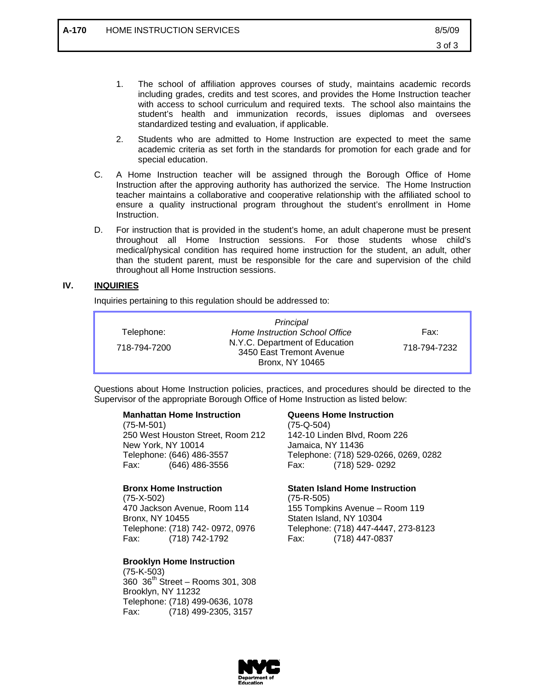- 1. The school of affiliation approves courses of study, maintains academic records including grades, credits and test scores, and provides the Home Instruction teacher with access to school curriculum and required texts. The school also maintains the student's health and immunization records, issues diplomas and oversees standardized testing and evaluation, if applicable.
- 2. Students who are admitted to Home Instruction are expected to meet the same academic criteria as set forth in the standards for promotion for each grade and for special education.
- C. A Home Instruction teacher will be assigned through the Borough Office of Home Instruction after the approving authority has authorized the service. The Home Instruction teacher maintains a collaborative and cooperative relationship with the affiliated school to ensure a quality instructional program throughout the student's enrollment in Home Instruction.
- D. For instruction that is provided in the student's home, an adult chaperone must be present throughout all Home Instruction sessions. For those students whose child's medical/physical condition has required home instruction for the student, an adult, other than the student parent, must be responsible for the care and supervision of the child throughout all Home Instruction sessions.

## **IV. INQUIRIES**

Inquiries pertaining to this regulation should be addressed to:

|              | Principal                                                                            |              |
|--------------|--------------------------------------------------------------------------------------|--------------|
| Telephone:   | Home Instruction School Office                                                       | Fax:         |
| 718-794-7200 | N.Y.C. Department of Education<br>3450 East Tremont Avenue<br><b>Bronx, NY 10465</b> | 718-794-7232 |

Questions about Home Instruction policies, practices, and procedures should be directed to the Supervisor of the appropriate Borough Office of Home Instruction as listed below:

#### **Manhattan Home Instruction**

(75-M-501) 250 West Houston Street, Room 212 New York, NY 10014 Telephone: (646) 486-3557 Fax: (646) 486-3556

#### **Bronx Home Instruction**

(75-X-502) 470 Jackson Avenue, Room 114 Bronx, NY 10455 Telephone: (718) 742- 0972, 0976 Fax: (718) 742-1792

# **Brooklyn Home Instruction**

(75-K-503) 360 36th Street – Rooms 301, 308 Brooklyn, NY 11232 Telephone: (718) 499-0636, 1078 Fax: (718) 499-2305, 3157

## **Queens Home Instruction**

(75-Q-504) 142-10 Linden Blvd, Room 226 Jamaica, NY 11436 Telephone: (718) 529-0266, 0269, 0282 Fax: (718) 529- 0292

# **Staten Island Home Instruction**

(75-R-505) 155 Tompkins Avenue – Room 119 Staten Island, NY 10304 Telephone: (718) 447-4447, 273-8123 Fax: (718) 447-0837

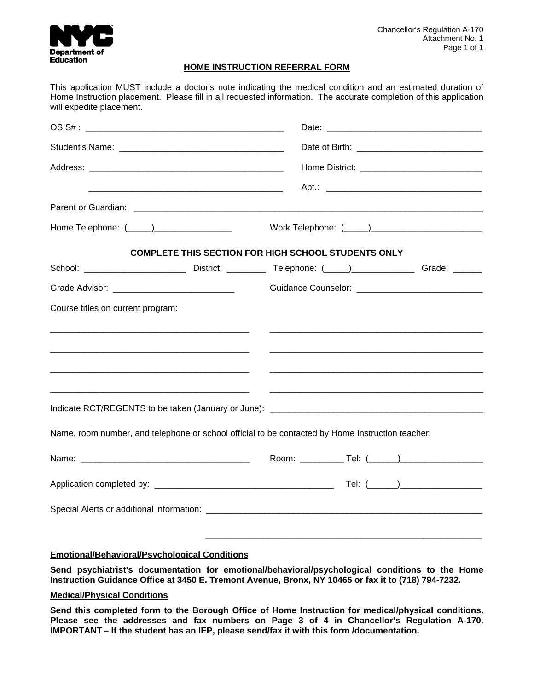

#### **HOME INSTRUCTION REFERRAL FORM**

| will expedite placement.                                                                           | This application MUST include a doctor's note indicating the medical condition and an estimated duration of<br>Home Instruction placement. Please fill in all requested information. The accurate completion of this application |  |
|----------------------------------------------------------------------------------------------------|----------------------------------------------------------------------------------------------------------------------------------------------------------------------------------------------------------------------------------|--|
|                                                                                                    |                                                                                                                                                                                                                                  |  |
|                                                                                                    |                                                                                                                                                                                                                                  |  |
|                                                                                                    |                                                                                                                                                                                                                                  |  |
| <u> 1980 - Johann John Stein, mars an deutscher Stein († 1950)</u>                                 |                                                                                                                                                                                                                                  |  |
|                                                                                                    |                                                                                                                                                                                                                                  |  |
| Home Telephone: (_____)_________________                                                           |                                                                                                                                                                                                                                  |  |
|                                                                                                    | <b>COMPLETE THIS SECTION FOR HIGH SCHOOL STUDENTS ONLY</b>                                                                                                                                                                       |  |
|                                                                                                    |                                                                                                                                                                                                                                  |  |
|                                                                                                    |                                                                                                                                                                                                                                  |  |
| Course titles on current program:<br><u> 1980 - Jan Stein Bernstein, mars and de Brandenberg (</u> |                                                                                                                                                                                                                                  |  |
|                                                                                                    |                                                                                                                                                                                                                                  |  |
| <u> 1980 - John Stein, Amerikaansk politiker († 1908)</u>                                          |                                                                                                                                                                                                                                  |  |
|                                                                                                    |                                                                                                                                                                                                                                  |  |
| Name, room number, and telephone or school official to be contacted by Home Instruction teacher:   |                                                                                                                                                                                                                                  |  |
|                                                                                                    |                                                                                                                                                                                                                                  |  |
|                                                                                                    |                                                                                                                                                                                                                                  |  |
|                                                                                                    |                                                                                                                                                                                                                                  |  |
|                                                                                                    |                                                                                                                                                                                                                                  |  |

#### **Emotional/Behavioral/Psychological Conditions**

**Send psychiatrist's documentation for emotional/behavioral/psychological conditions to the Home Instruction Guidance Office at 3450 E. Tremont Avenue, Bronx, NY 10465 or fax it to (718) 794-7232.** 

#### **Medical/Physical Conditions**

**Send this completed form to the Borough Office of Home Instruction for medical/physical conditions. Please see the addresses and fax numbers on Page 3 of 4 in Chancellor's Regulation A-170. IMPORTANT – If the student has an IEP, please send/fax it with this form /documentation.**